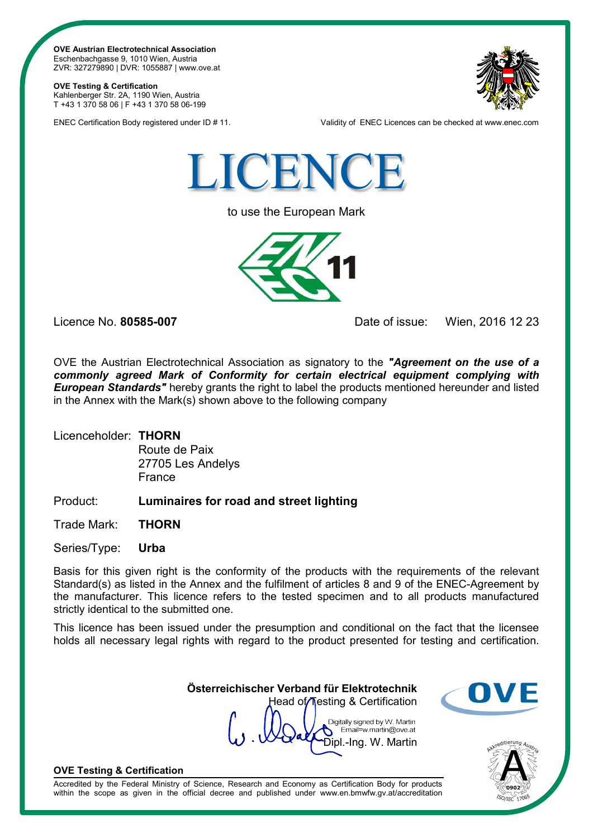**OVE Austrian Electrotechnical Association** Eschenbachgasse 9, 1010 Wien, Austria ZVR: 327279890 | DVR: 1055887 | www.ove.at

## **OVE Testing & Certification**

Kahlenberger Str. 2A, 1190 Wien, Austria T +43 1 370 58 06 | F +43 1 370 58 06-199



ENEC Certification Body registered under ID # 11. Validity of ENEC Licences can be checked at www.enec.com



to use the European Mark



Licence No. **80585-007** Date of issue: Wien, 2016 12 23

OVE the Austrian Electrotechnical Association as signatory to the *"Agreement on the use of a commonly agreed Mark of Conformity for certain electrical equipment complying with European Standards"* hereby grants the right to label the products mentioned hereunder and listed in the Annex with the Mark(s) shown above to the following company

## Licenceholder: **THORN**

Route de Paix 27705 Les Andelys France

## Product: **Luminaires for road and street lighting**

Trade Mark: **THORN**

Series/Type: **Urba**

Basis for this given right is the conformity of the products with the requirements of the relevant Standard(s) as listed in the Annex and the fulfilment of articles 8 and 9 of the ENEC-Agreement by the manufacturer. This licence refers to the tested specimen and to all products manufactured strictly identical to the submitted one.

This licence has been issued under the presumption and conditional on the fact that the licensee holds all necessary legal rights with regard to the product presented for testing and certification.

> **Österreichischer Verband für Elektrotechnik** Head of Testing & Certification

Digitally signed by W. Martin Email=w.martin@ove.at Dipl.-Ing. W. Martin





## **OVE Testing & Certification**

Accredited by the Federal Ministry of Science, Research and Economy as Certification Body for products within the scope as given in the official decree and published under www.en.bmwfw.gv.at/accreditation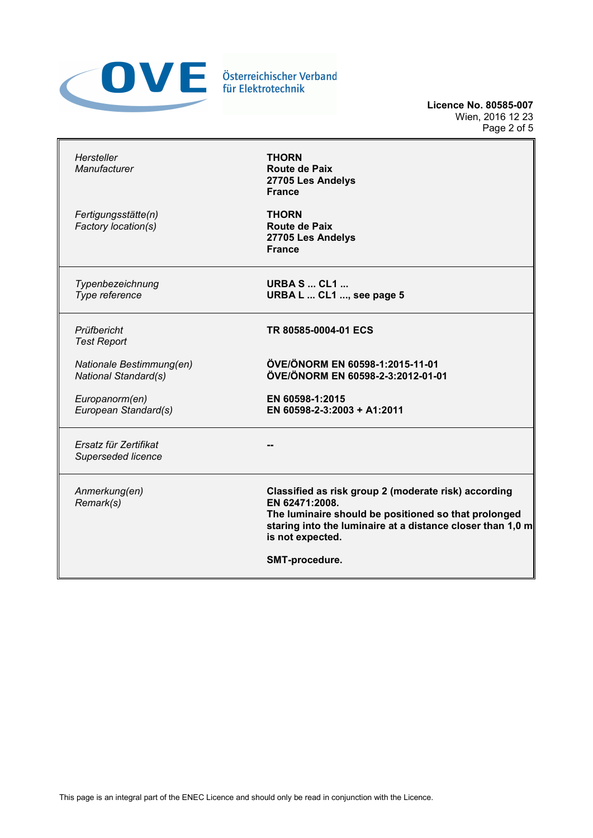

**Licence No. 80585-007** Wien, 2016 12 23 Page 2 of 5

| Hersteller<br>Manufacturer                              | <b>THORN</b><br>Route de Paix<br>27705 Les Andelys<br><b>France</b>                                                                                                                                              |
|---------------------------------------------------------|------------------------------------------------------------------------------------------------------------------------------------------------------------------------------------------------------------------|
| Fertigungsstätte(n)<br>Factory location(s)              | <b>THORN</b><br><b>Route de Paix</b><br>27705 Les Andelys<br><b>France</b>                                                                                                                                       |
| Typenbezeichnung<br>Type reference                      | <b>URBA S  CL1 </b><br>URBA L  CL1 , see page 5                                                                                                                                                                  |
| Prüfbericht<br><b>Test Report</b>                       | TR 80585-0004-01 ECS                                                                                                                                                                                             |
| Nationale Bestimmung(en)<br><b>National Standard(s)</b> | ÖVE/ÖNORM EN 60598-1:2015-11-01<br>ÖVE/ÖNORM EN 60598-2-3:2012-01-01                                                                                                                                             |
| Europanorm(en)<br>European Standard(s)                  | EN 60598-1:2015<br>EN 60598-2-3:2003 + A1:2011                                                                                                                                                                   |
| Ersatz für Zertifikat<br>Superseded licence             |                                                                                                                                                                                                                  |
| Anmerkung(en)<br>Remark(s)                              | Classified as risk group 2 (moderate risk) according<br>EN 62471:2008.<br>The luminaire should be positioned so that prolonged<br>staring into the luminaire at a distance closer than 1,0 m<br>is not expected. |
|                                                         | SMT-procedure.                                                                                                                                                                                                   |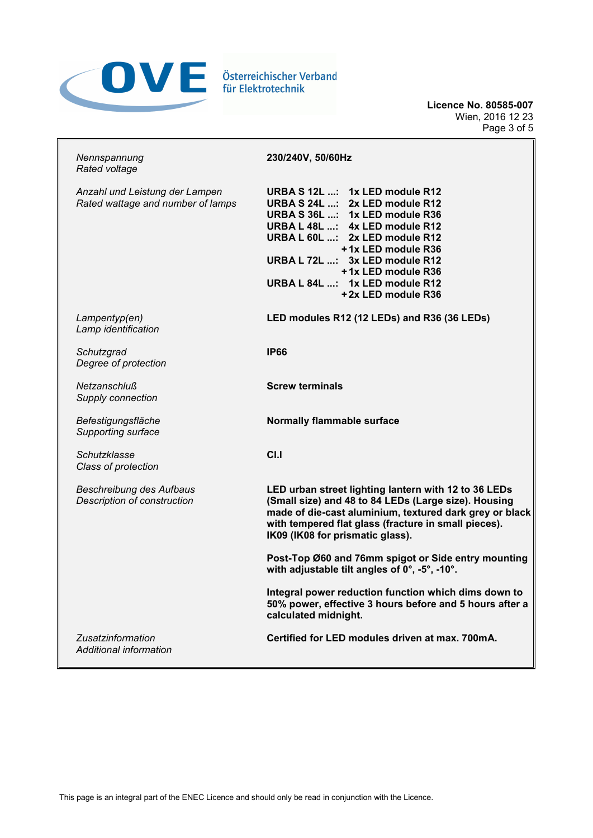

**Licence No. 80585-007** Wien, 2016 12 23 Page 3 of 5

| Nennspannung<br>Rated voltage                                       | 230/240V, 50/60Hz                                                                                                                                                                                                                                                                                            |  |  |
|---------------------------------------------------------------------|--------------------------------------------------------------------------------------------------------------------------------------------------------------------------------------------------------------------------------------------------------------------------------------------------------------|--|--|
| Anzahl und Leistung der Lampen<br>Rated wattage and number of lamps | URBA S 12L : 1x LED module R12<br>URBA S 24L : 2x LED module R12<br>URBA S 36L : 1x LED module R36<br>URBA L 48L : 4x LED module R12<br>URBA L 60L : 2x LED module R12<br>+1x LED module R36<br>URBA L 72L : 3x LED module R12<br>+1x LED module R36<br>URBA L 84L : 1x LED module R12<br>+2x LED module R36 |  |  |
| Lampentyp(en)<br>Lamp identification                                | LED modules R12 (12 LEDs) and R36 (36 LEDs)                                                                                                                                                                                                                                                                  |  |  |
| Schutzgrad<br>Degree of protection                                  | <b>IP66</b>                                                                                                                                                                                                                                                                                                  |  |  |
| Netzanschluß<br>Supply connection                                   | <b>Screw terminals</b>                                                                                                                                                                                                                                                                                       |  |  |
| Befestigungsfläche<br>Supporting surface                            | Normally flammable surface                                                                                                                                                                                                                                                                                   |  |  |
| Schutzklasse<br>Class of protection                                 | C <sub>1</sub>                                                                                                                                                                                                                                                                                               |  |  |
| <b>Beschreibung des Aufbaus</b><br>Description of construction      | LED urban street lighting lantern with 12 to 36 LEDs<br>(Small size) and 48 to 84 LEDs (Large size). Housing<br>made of die-cast aluminium, textured dark grey or black<br>with tempered flat glass (fracture in small pieces).<br>IK09 (IK08 for prismatic glass).                                          |  |  |
|                                                                     | Post-Top Ø60 and 76mm spigot or Side entry mounting<br>with adjustable tilt angles of 0°, -5°, -10°.                                                                                                                                                                                                         |  |  |
|                                                                     | Integral power reduction function which dims down to<br>50% power, effective 3 hours before and 5 hours after a<br>calculated midnight.                                                                                                                                                                      |  |  |
| Zusatzinformation<br>Additional information                         | Certified for LED modules driven at max. 700mA.                                                                                                                                                                                                                                                              |  |  |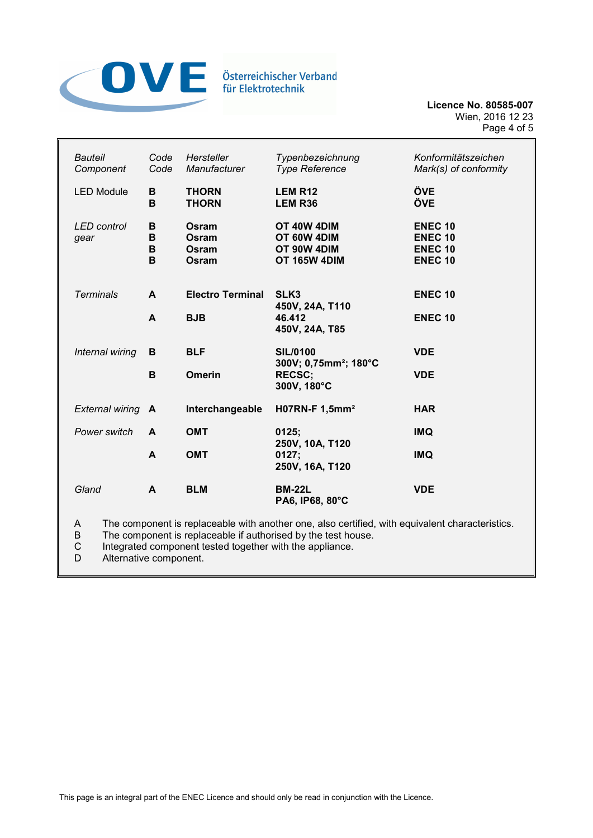

**Licence No. 80585-007** Wien, 2016 12 23 Page 4 of 5

| <b>Bauteil</b><br>Component                                                                                                                                                                                                                     | Code<br>Code     | Hersteller<br>Manufacturer       | Typenbezeichnung<br><b>Type Reference</b>                 | Konformitätszeichen<br>Mark(s) of conformity                         |  |
|-------------------------------------------------------------------------------------------------------------------------------------------------------------------------------------------------------------------------------------------------|------------------|----------------------------------|-----------------------------------------------------------|----------------------------------------------------------------------|--|
| <b>LED Module</b>                                                                                                                                                                                                                               | B<br>B           | <b>THORN</b><br><b>THORN</b>     | <b>LEM R12</b><br>LEM R36                                 | ÖVE<br>ÖVE                                                           |  |
| <b>LED</b> control<br>gear                                                                                                                                                                                                                      | в<br>В<br>в<br>B | Osram<br>Osram<br>Osram<br>Osram | OT 40W 4DIM<br>OT 60W 4DIM<br>OT 90W 4DIM<br>OT 165W 4DIM | <b>ENEC 10</b><br><b>ENEC 10</b><br><b>ENEC 10</b><br><b>ENEC 10</b> |  |
| <b>Terminals</b>                                                                                                                                                                                                                                | A                | <b>Electro Terminal</b>          | SLK <sub>3</sub>                                          | <b>ENEC 10</b>                                                       |  |
|                                                                                                                                                                                                                                                 | A                | <b>BJB</b>                       | 450V, 24A, T110<br>46.412<br>450V, 24A, T85               | <b>ENEC 10</b>                                                       |  |
| Internal wiring                                                                                                                                                                                                                                 | В                | <b>BLF</b>                       | <b>SIL/0100</b><br>300V; 0,75mm <sup>2</sup> ; 180°C      | <b>VDE</b>                                                           |  |
|                                                                                                                                                                                                                                                 | B                | <b>Omerin</b>                    | <b>RECSC;</b><br>300V, 180°C                              | <b>VDE</b>                                                           |  |
| <b>External wiring</b>                                                                                                                                                                                                                          | A                | Interchangeable                  | H07RN-F 1,5mm <sup>2</sup>                                | <b>HAR</b>                                                           |  |
| Power switch                                                                                                                                                                                                                                    | A                | <b>OMT</b>                       | 0125;<br>250V, 10A, T120                                  | <b>IMQ</b>                                                           |  |
|                                                                                                                                                                                                                                                 | A                | <b>OMT</b>                       | 0127;<br>250V, 16A, T120                                  | <b>IMQ</b>                                                           |  |
| Gland                                                                                                                                                                                                                                           | A                | <b>BLM</b>                       | <b>BM-22L</b><br>PA6, IP68, 80°C                          | <b>VDE</b>                                                           |  |
| The component is replaceable with another one, also certified, with equivalent characteristics.<br>A<br>B<br>The component is replaceable if authorised by the test house.<br>Integrated companent tooted together with the appliance<br>$\sim$ |                  |                                  |                                                           |                                                                      |  |

C Integrated component tested together with the appliance.<br>D Alternative component. Alternative component.